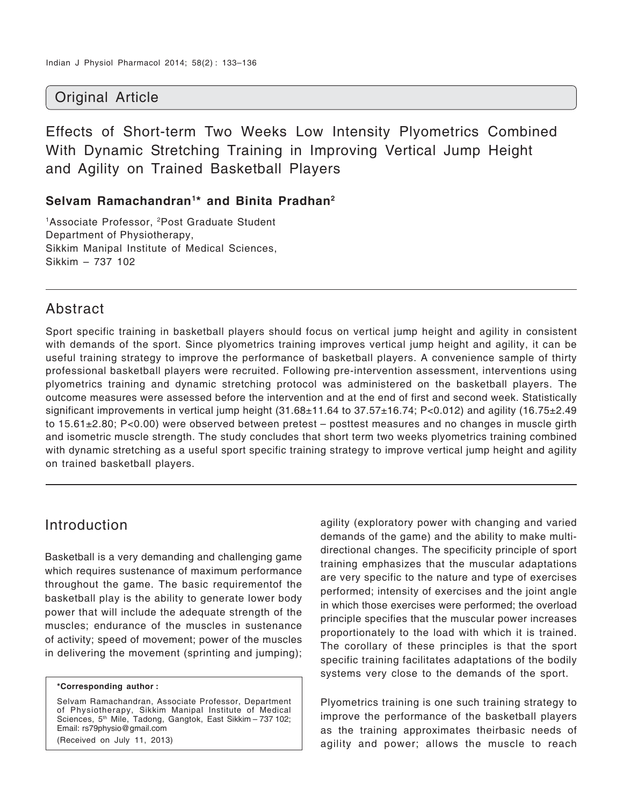## Original Article

Effects of Short-term Two Weeks Low Intensity Plyometrics Combined With Dynamic Stretching Training in Improving Vertical Jump Height and Agility on Trained Basketball Players

#### **Selvam Ramachandran1\* and Binita Pradhan2**

<sup>1</sup>Associate Professor, <sup>2</sup>Post Graduate Student Department of Physiotherapy, Sikkim Manipal Institute of Medical Sciences, Sikkim – 737 102

## Abstract

Sport specific training in basketball players should focus on vertical jump height and agility in consistent with demands of the sport. Since plyometrics training improves vertical jump height and agility, it can be useful training strategy to improve the performance of basketball players. A convenience sample of thirty professional basketball players were recruited. Following pre-intervention assessment, interventions using plyometrics training and dynamic stretching protocol was administered on the basketball players. The outcome measures were assessed before the intervention and at the end of first and second week. Statistically significant improvements in vertical jump height (31.68±11.64 to 37.57±16.74; P<0.012) and agility (16.75±2.49 to 15.61±2.80; P<0.00) were observed between pretest – posttest measures and no changes in muscle girth and isometric muscle strength. The study concludes that short term two weeks plyometrics training combined with dynamic stretching as a useful sport specific training strategy to improve vertical jump height and agility on trained basketball players.

#### Introduction

Basketball is a very demanding and challenging game which requires sustenance of maximum performance throughout the game. The basic requirementof the basketball play is the ability to generate lower body power that will include the adequate strength of the muscles; endurance of the muscles in sustenance of activity; speed of movement; power of the muscles in delivering the movement (sprinting and jumping);

Selvam Ramachandran, Associate Professor, Department of Physiotherapy, Sikkim Manipal Institute of Medical Sciences, 5<sup>th</sup> Mile, Tadong, Gangtok, East Sikkim – 737 102; Email: rs79physio@gmail.com

(Received on July 11, 2013)

agility (exploratory power with changing and varied demands of the game) and the ability to make multidirectional changes. The specificity principle of sport training emphasizes that the muscular adaptations are very specific to the nature and type of exercises performed; intensity of exercises and the joint angle in which those exercises were performed; the overload principle specifies that the muscular power increases proportionately to the load with which it is trained. The corollary of these principles is that the sport specific training facilitates adaptations of the bodily systems very close to the demands of the sport.

Plyometrics training is one such training strategy to improve the performance of the basketball players as the training approximates theirbasic needs of agility and power; allows the muscle to reach

**<sup>\*</sup>Corresponding author :**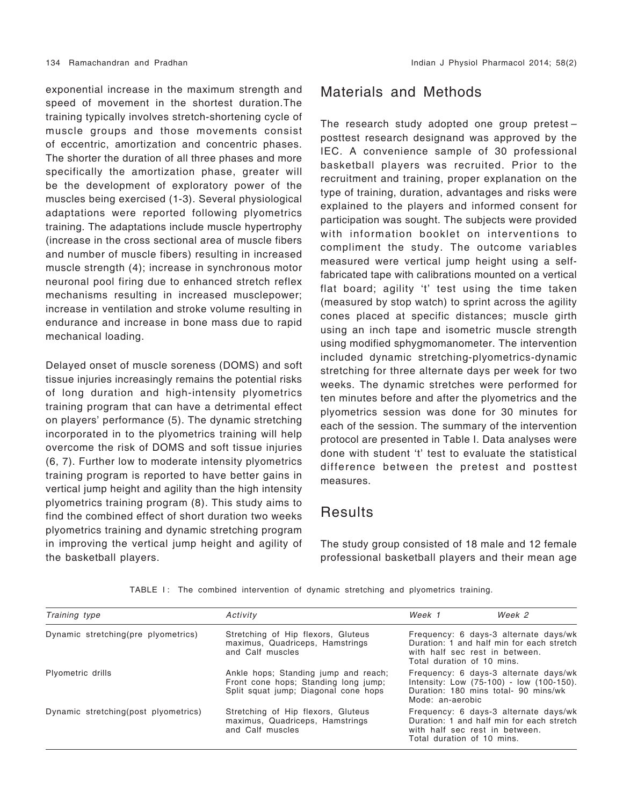exponential increase in the maximum strength and speed of movement in the shortest duration.The training typically involves stretch-shortening cycle of muscle groups and those movements consist of eccentric, amortization and concentric phases. The shorter the duration of all three phases and more specifically the amortization phase, greater will be the development of exploratory power of the muscles being exercised (1-3). Several physiological adaptations were reported following plyometrics training. The adaptations include muscle hypertrophy (increase in the cross sectional area of muscle fibers and number of muscle fibers) resulting in increased muscle strength (4); increase in synchronous motor neuronal pool firing due to enhanced stretch reflex mechanisms resulting in increased musclepower; increase in ventilation and stroke volume resulting in endurance and increase in bone mass due to rapid mechanical loading.

Delayed onset of muscle soreness (DOMS) and soft tissue injuries increasingly remains the potential risks of long duration and high-intensity plyometrics training program that can have a detrimental effect on players' performance (5). The dynamic stretching incorporated in to the plyometrics training will help overcome the risk of DOMS and soft tissue injuries (6, 7). Further low to moderate intensity plyometrics training program is reported to have better gains in vertical jump height and agility than the high intensity plyometrics training program (8). This study aims to find the combined effect of short duration two weeks plyometrics training and dynamic stretching program in improving the vertical jump height and agility of the basketball players.

#### Materials and Methods

The research study adopted one group pretest – posttest research designand was approved by the IEC. A convenience sample of 30 professional basketball players was recruited. Prior to the recruitment and training, proper explanation on the type of training, duration, advantages and risks were explained to the players and informed consent for participation was sought. The subjects were provided with information booklet on interventions to compliment the study. The outcome variables measured were vertical jump height using a selffabricated tape with calibrations mounted on a vertical flat board; agility 't' test using the time taken (measured by stop watch) to sprint across the agility cones placed at specific distances; muscle girth using an inch tape and isometric muscle strength using modified sphygmomanometer. The intervention included dynamic stretching-plyometrics-dynamic stretching for three alternate days per week for two weeks. The dynamic stretches were performed for ten minutes before and after the plyometrics and the plyometrics session was done for 30 minutes for each of the session. The summary of the intervention protocol are presented in Table I. Data analyses were done with student 't' test to evaluate the statistical difference between the pretest and posttest measures.

#### **Results**

The study group consisted of 18 male and 12 female professional basketball players and their mean age

| TABLE I: The combined intervention of dynamic stretching and plyometrics training. |  |  |  |  |  |  |  |  |  |  |
|------------------------------------------------------------------------------------|--|--|--|--|--|--|--|--|--|--|
|------------------------------------------------------------------------------------|--|--|--|--|--|--|--|--|--|--|

| Training type                         | Activity                                                                                                             | Week 1                     | Week 2                                                                                                                    |
|---------------------------------------|----------------------------------------------------------------------------------------------------------------------|----------------------------|---------------------------------------------------------------------------------------------------------------------------|
| Dynamic stretching (pre plyometrics)  | Stretching of Hip flexors, Gluteus<br>maximus, Quadriceps, Hamstrings<br>and Calf muscles                            | Total duration of 10 mins. | Frequency: 6 days-3 alternate days/wk<br>Duration: 1 and half min for each stretch<br>with half sec rest in between.      |
| Plyometric drills                     | Ankle hops; Standing jump and reach;<br>Front cone hops; Standing long jump;<br>Split squat jump; Diagonal cone hops | Mode: an-aerobic           | Frequency: 6 days-3 alternate days/wk<br>Intensity: Low (75-100) - low (100-150).<br>Duration: 180 mins total- 90 mins/wk |
| Dynamic stretching (post plyometrics) | Stretching of Hip flexors, Gluteus<br>maximus, Quadriceps, Hamstrings<br>and Calf muscles                            | Total duration of 10 mins. | Frequency: 6 days-3 alternate days/wk<br>Duration: 1 and half min for each stretch<br>with half sec rest in between.      |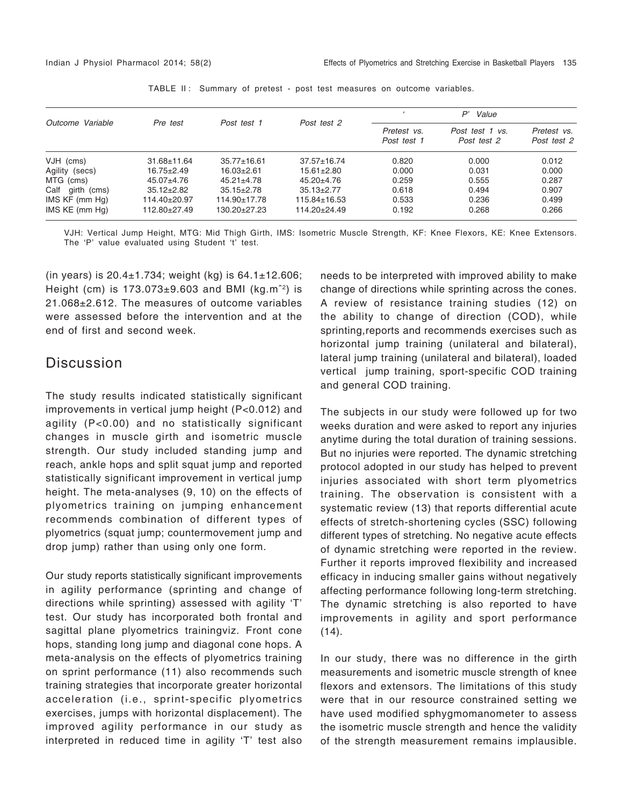|                  | Pre test          | Post test 1       | Post test 2        | P'<br>Value                |                                |                            |  |
|------------------|-------------------|-------------------|--------------------|----------------------------|--------------------------------|----------------------------|--|
| Outcome Variable |                   |                   |                    | Pretest vs.<br>Post test 1 | Post test 1 vs.<br>Post test 2 | Pretest vs.<br>Post test 2 |  |
| VJH (cms)        | $31.68 \pm 11.64$ | $35.77 \pm 16.61$ | $37.57 \pm 16.74$  | 0.820                      | 0.000                          | 0.012                      |  |
| Agility (secs)   | $16.75 \pm 2.49$  | $16.03 + 2.61$    | $15.61 \pm 2.80$   | 0.000                      | 0.031                          | 0.000                      |  |
| MTG (cms)        | $45.07 + 4.76$    | $45.21 \pm 4.78$  | $45.20 + 4.76$     | 0.259                      | 0.555                          | 0.287                      |  |
| Calf girth (cms) | $35.12 + 2.82$    | $35.15 \pm 2.78$  | $35.13 \pm 2.77$   | 0.618                      | 0.494                          | 0.907                      |  |
| IMS KF (mm Hg)   | $114.40 + 20.97$  | $114.90 + 17.78$  | $115.84 \pm 16.53$ | 0.533                      | 0.236                          | 0.499                      |  |
| IMS KE (mm Hg)   | $112.80 + 27.49$  | 130.20+27.23      | $114.20 + 24.49$   | 0.192                      | 0.268                          | 0.266                      |  |

TABLE II: Summary of pretest - post test measures on outcome variables.

VJH: Vertical Jump Height, MTG: Mid Thigh Girth, IMS: Isometric Muscle Strength, KF: Knee Flexors, KE: Knee Extensors. The 'P' value evaluated using Student 't' test.

(in years) is  $20.4 \pm 1.734$ ; weight (kg) is  $64.1 \pm 12.606$ ; Height (cm) is  $173.073\pm9.603$  and BMI (kg.m<sup>-2</sup>) is 21.068±2.612. The measures of outcome variables were assessed before the intervention and at the end of first and second week.

#### **Discussion**

The study results indicated statistically significant improvements in vertical jump height (P<0.012) and agility (P<0.00) and no statistically significant changes in muscle girth and isometric muscle strength. Our study included standing jump and reach, ankle hops and split squat jump and reported statistically significant improvement in vertical jump height. The meta-analyses (9, 10) on the effects of plyometrics training on jumping enhancement recommends combination of different types of plyometrics (squat jump; countermovement jump and drop jump) rather than using only one form.

Our study reports statistically significant improvements in agility performance (sprinting and change of directions while sprinting) assessed with agility 'T' test. Our study has incorporated both frontal and sagittal plane plyometrics trainingviz. Front cone hops, standing long jump and diagonal cone hops. A meta-analysis on the effects of plyometrics training on sprint performance (11) also recommends such training strategies that incorporate greater horizontal acceleration (i.e., sprint-specific plyometrics exercises, jumps with horizontal displacement). The improved agility performance in our study as interpreted in reduced time in agility 'T' test also

needs to be interpreted with improved ability to make change of directions while sprinting across the cones. A review of resistance training studies (12) on the ability to change of direction (COD), while sprinting,reports and recommends exercises such as horizontal jump training (unilateral and bilateral), lateral jump training (unilateral and bilateral), loaded vertical jump training, sport-specific COD training and general COD training.

The subjects in our study were followed up for two weeks duration and were asked to report any injuries anytime during the total duration of training sessions. But no injuries were reported. The dynamic stretching protocol adopted in our study has helped to prevent injuries associated with short term plyometrics training. The observation is consistent with a systematic review (13) that reports differential acute effects of stretch-shortening cycles (SSC) following different types of stretching. No negative acute effects of dynamic stretching were reported in the review. Further it reports improved flexibility and increased efficacy in inducing smaller gains without negatively affecting performance following long-term stretching. The dynamic stretching is also reported to have improvements in agility and sport performance  $(14)$ .

In our study, there was no difference in the girth measurements and isometric muscle strength of knee flexors and extensors. The limitations of this study were that in our resource constrained setting we have used modified sphygmomanometer to assess the isometric muscle strength and hence the validity of the strength measurement remains implausible.